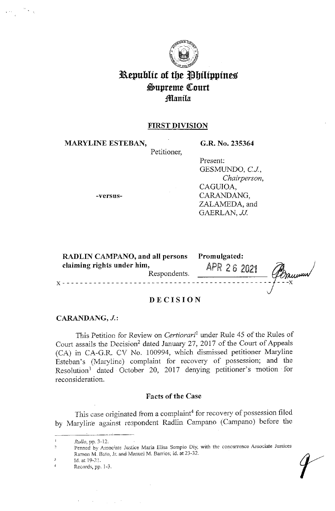

# **Republic of the Philippines**  $\mathfrak{S}$ upreme Court **fllanila**

# **FIRST DIVISION**

Petitioner,

**MARYLINE ESTEBAN,** 

**G.R. No. 235364** 

Present: GESMUNDO, *CJ, Chairperson,*  CAGUIOA, CARANDANG, ZALAMEDA, and

GAERLAN, JJ.

**-versus-**

| <b>RADLIN CAMPANO, and all persons</b><br>claiming rights under him,<br>Respondents. | Promulgated:<br>APR 26 2021 |
|--------------------------------------------------------------------------------------|-----------------------------|
|                                                                                      | J Donneum                   |

# **DECISION**

### CARANDANG, *J.*:

This Petition for Review on *Certiorari*<sup>1</sup> under Rule 45 of the Rules of Court assails the Decision<sup>2</sup> dated January 27, 2017 of the Court of Appeals (CA) in CA-G.R. CV No. 100994, which dismissed petitioner Maryline Esteban's (Maryline) complaint for recovery of possession; and the Resolution<sup>3</sup> dated October 20, 2017 denying petitioner's motion for reconsideration.

## **Facts of the Case**

This case originated from a complaint<sup>4</sup> for recovery of possession filed by Maryline against respondent Radlin Campano (Campano) before the

 $\label{eq:2.1} \mathcal{A}^{(1)} = \mathcal{A}^{(1)} \mathcal{A}^{(2)} = \mathcal{A}^{(1)} \mathcal{A}^{(2)} = \mathcal{A}^{(1)} \mathcal{A}^{(2)}$ 

*Rollo,* pp. 3-12,  $\mathbf{I}$ 

Penned by Associate Justice Maria Elisa Sempio Diy, with the concurrence Associate Justices  $\hat{2}$ Ramon M. Bato, Jr. and Manuel M. Barrios; id. at 23-32.

 $\overline{\mathbf{3}}$ Id.atl9-7'.

<sup>4</sup>  Records, pp. 1-3.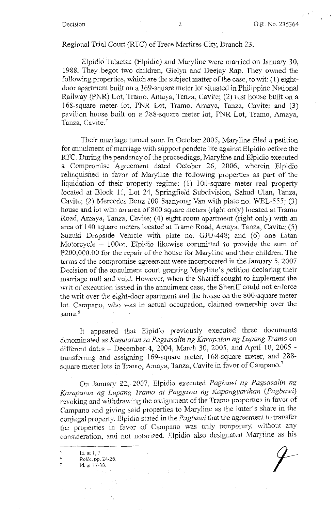### Regional Trial Court (RTC) of Trece Martires City, Branch 23.

Elpidici Talactac (Elpidio) and Maryline were married on January 30, 1988. They begot two children, Gielyn and Deejay Rap. They owned the following properties, which are the subject matter of the case, to wit: (1) eightdoor apartment built on a 169-square meter lot situated in Philippine National Railway (PNR) Lot, Tramo, Amaya, Tanza, Cavite; (2) rest house built on a 168-square meter lot, PNR Lot, Tramo, Amaya, Tanza, Cavite; and (3) pavilion house built *on* a 288-square meter lot, PNR Lot, Tramo, Amaya, Tanza, Cavite.<sup>5</sup>

Their marriage turned sour. In October 2005, Maryline filed a petition for annulment of marriage with support pendete lite against Elpidio before the RTC. During the pendency of the proceedings, Maryline and Elpidio executed a Compromise Agreement dated October 26, 2006, wherein Elpidio relinquished in favor of Maryline the following properties as part of the liquidation of their property regime: (1) 100-square meter real property located at Block 11, Lot 24, Springfield Subdivision, Sahud Ulan, Tanza, Cavite; (2) Mercedes Benz 100 Saanyong Van with plate no. WEL-555; (3) house and lot with an area of 800 square meters (right only) located at Tramo Road, Amaya, Tanza, Cavite; (4) eight-room apartment (right only) with an area of 140 square meters located at Tramo Road, Amaya, Tanza, Cavite; (5) Suzuki Dropside Vehicle with plate no. GJU-448; and (6) one Lifan Motorcycle - 100cc. Elpidio likewise committed to provide the sum of P200,000.00 for the repair of the house for Maryline and their children. The terms of the compromise agreement were incorporated in the January 5, 2007 Decision of the annulment court granting Maryline's petition declaring their marriage null and void. However, when the Sheriff sought to implement the writ of execution issued in the annulment case, the Sheriff could not enforce the writ over the eight-door apartment and the house on the 800-square meter lot. Campano, who was in actual occupation, claimed ownership over the same.<sup>6</sup>

It appeared that Elpidio previously executed three documents denominated as *Kasulatan sa Pagsasalin ng Karapatan ng Lupang Tramo* on different dates -- December 4, 2004, March 30, 2005, and April 10, 2005 transferring and assigning 169-square meter, 168-square meter, and 288 square meter lots in Tramo, Amaya, Tanza, Cavite in favor of Campano.<sup>7</sup>

On January 22,-2007, Elpidio executed *Pagbawi ng Pagsasalin ng*  Karapatan ng Lupang Tramo at Paggawa ng Kapangyarihan (Pagbawi) revoking and withdrawing the assignment of the Tramo properties in favor of Campano and giving said properties to Maryline as the latter's share in the conjugal property. Elpidio stated in the *Pagbawi* that the agreement to transfer the properties in favcr of Campano was only temporary, without any consideration, and not notarized. Elpidio also designated Maryline as his

 $\mathcal{L}$ Id. at  $1, 7$ *Rollo,* pp. *24-26.*  **Id. at 37-38.**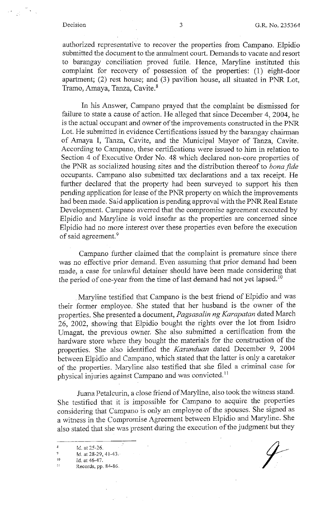authorized representative to recover the properties from Campana. Elpidio submitted the document to the annulment court. Demands to vacate and resort to barangay conciliation proved futile. Hence, Maryline instituted this complaint for recovery of possession of the properties: (1) eight-door apartment; (2) rest house; and (3) pavilion house, all situated in PNR Lot, Tramo, Amaya, Tanza, Cavite.<sup>8</sup>

In his Answer, Campana prayed that the complaint be dismissed for failure to state a cause of action. He alleged that since December 4, 2004, he is the actual occupant and owner of the improvements constructed in the PNR Lot. He submitted in evidence Certifications issued by the barangay chairman of Amaya I, Tanza, Cavite, and the Municipal Mayor of Tanza, Cavite. According to Campano, these certifications were issued to him in relation to Section 4 of Executive Order No. 48 which declared non-core properties of the PNR as socialized housing sites and the distribution thereof to *bona fide* occupants. Campana also submitted tax declarations and a tax receipt. He further declared that the property had been surveyed to support his then pending application for lease of the PNR property on which the improvements had been made. Said application is pending approval with the PNR Real Estate Development. Campana averred that the compromise agreement executed by Elpidio and Maryline is void insofar as the properties are concerned since Elpidio had no more interest over these properties even before the execution of said agreement.<sup>9</sup>

Campana further claimed that the complaint is premature since there was no effective prior demand. Even assuming that prior demand had been made, a case for unlawful detainer should have been made considering that the period of one-year from the time of last demand had not yet lapsed.<sup>10</sup>

Maryline testified that Campana is the best friend of Elpidio and was their former employee. She stated that her husband is the owner of the properties. She presented a document, *Pagsasalin ng Karapatan* dated March 26, 2002, showing that Elpidio bought the rights over the lot from Isidro Umagat, the previous owner. She also submitted a certification from the hardware store where they bought the materials for the construction of the properties. She also identified the *Kasunduan* dated December 9, 2004 between Elpidio and Campana, which stated that the latter is only a caretaker of the properties. Maryline also testified that she filed a criminal case for physical injuries against Campano and was convicted.<sup>11</sup>

Juana Petalcurin, a close friend of Mary line, also took the witness stand. She testified that it is impossible for Campano to acquire the properties considering that Campano is only an employee of the spouses. She signed as a witness in the Compromise Agreement between Elpidio and Maryline. She also stated that she was present during the execution of the judgment but they

 $\overline{\mathbf{8}}$ Id. at 25-26.

 $\overline{9}$ Id. at 28-29, 41-43.

lO Id. at 46-47.

 $\mathbf{H}$ Records, pp. 84-86.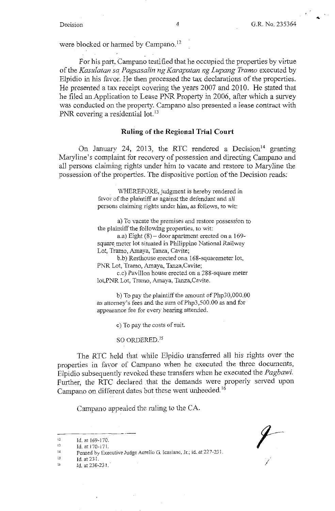...

were blocked or harmed by Campano. <sup>12</sup>

For his part, Campano testified that he occupied the properties by virtue of the *Kasulatan sa Pagsasalin ng Karapatan ng Lupang Tramo* executed by Elpidio in his favor. He then processed the tax declarations of the properties. He presented a tax receipt covering the years 2007 and 2010. He stated that he filed an Application to Lease PNR Property in 2006, after which a survey was conducted on the property. Campana also presented a lease contract with PNR covering a residential lot.<sup>13</sup>

#### **Ruling of the Regional Trial Court**

On January 24, 2013, the RTC rendered a Decision<sup>14</sup> granting Maryline's complaint for recovery of possession and directing Campano and all persons claiming rights under him to vacate and restore to Maryline the possession of the properties. The dispositive portion of the Decision reads:

> WHEREFORE, judgment is hereby rendered in favor of the plaintiff as against the defendant and all persons claiming rights under him, as follows, to wit:

a) To vacate the premises and restore possession to the plaintiff the following properties, to wit:

a.a) Eight  $(8)$  – door apartment erected on a 169square meter lot situated in Philippine National Railway Lot, Tramo, Amaya, Tanza, Cavite;

b.b) Resthouse erected ona 168-squaremeter lot, PNR Lot, Tramo, Amaya, Tanza,Cavite;

c.c) Pavilion house erected on a 288-square meter lot,PNR Lot, Tramo, Amaya, Tanza,Cavite.

b) To pay the plaintiff the amount of Php30,000.00 as attorney's fees and the sum of Php3,500.00 as and for appearance fee for every hearing attended.

c) To pay the costs of suit.

so ORDERED. <sup>15</sup>

The RTC held that while Elpidio transferred all his rights over the properties in favor of Campano when he executed the three documents, Elpidio subsequently revoked these transfers when he executed the *Pagbawi.*  Further, the RTC declared that the demands were properly served upon Campano on different dates but these went unheeded.<sup>16</sup>

Campano appealed the ruling to the CA.

<sup>12</sup>  Id. at 169-170.

<sup>13</sup>  Id. at 170-171.

<sup>14</sup>  Penned by Executive Judge Aurelio G. lcasiano, Jr.; id. at 227-231.

<sup>15</sup>  **id. at 231.** 

<sup>16</sup>  **Id. at 230-231 ..**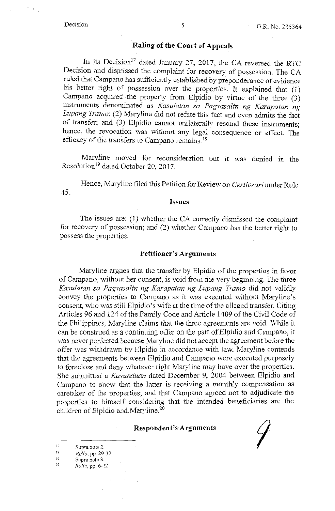### **Riding of the Court of Appeals**

In its Decision<sup>17</sup> dated January 27, 2017, the CA reversed the RTC Decision and dismissed the complaint for recovery of possession. The CA ruled that Campano-has sufficiently established by preponderance of evidence his better right of possession over the properties. It explained that (1) Campano acquired the property from Elpidio by virtue of the three (3) instruments denominated as *Kasulatan sa Pagsasalin ng Karapatan ng Lupang Tramo;* (2) Maryline did not refute this fact and even admits the fact of transfer; and (3) Elpidio cannot unilaterally rescind these instruments; hence, the revocation was without any legal consequence or effect. The efficacy of the transfers to Campano remains. <sup>18</sup>

Maryline moved for reconsideration but it was denied in the Resolution<sup>19</sup> dated October 20, 2017.

Hence, Mary line filed this Petition for Review on *Certiorari* under Rule 45.

#### **Issues**

The issues are: (1) whether the CA correctly dismissed the complaint for recovery of possession; and (2) whether Campano has the better right to possess the properties.

#### **Petitioner's Arguments**

Maryline argues that the transfer by Elpidio of the properties in favor of Campano, without her consent, is void from the very beginning. The three *Kasulatan sa Pagsasalin ng Karapatan ng Lupang Tramo* did not validly convey the properties to Campano as it was executed without Maryline's consent, who was stili Elpidio's wife at the time of the alleged transfer. Citing Articles 96 and 124 of the Family Code arid Article 1409 of the Civil Code of the Philippines, Maryline claims that the three agreements are void. While it can be construed as a continuing offer on the part of Elpidio and Campano, it was never perfected because Mary line did not accept the agreement before the offer was withdrawn by Elpidio in accordance with law. Maryline contends that the agreements between Elpidio and Campano were executed purposely to foreclose and deny whatever right Maryline may have over the properties. She submitted a *Kasunduan* dated December 9, 2004 between Elpidio and Campano to show that the latter is receiving a monthly compensation as caretaker of the properties; and that Campano agreed not to adjudicate the properties to himself considering that the intended beneficiaries are the children of Elpidio and Maryline.<sup>20</sup>

#### **Respondent's Arguments**

- $\overline{1}$ **Supra note 2.**
- 18 *Rollo,* pp. 29-32.
- 19 **Supra note 3.**
- $\overline{2}$ *Rolle,* pp. 6-12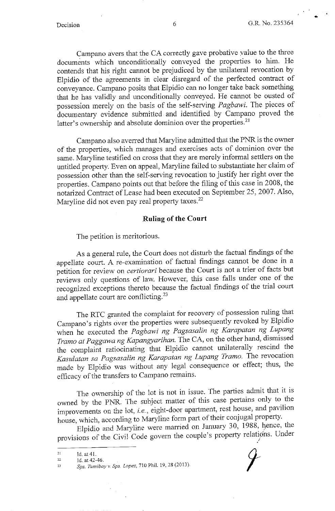•

Campano avers that the CA correctly gave probative value to the three documents which unconditionally conveyed the properties to him.. He contends that his right cannot be prejudiced by the unilateral revocation by Elpidio of the agreements in clear disregard of the perfected contract of conveyance. Campano posits that Elpidio can no longer take back something that he has validly and unconditionally conveyed. He cannot be ousted of possession merely on the basis of the self-serving *Pagbawi.* The pieces of documentary evidence submitted and identified by Campano proved the latter's ownership and absolute dominion over the properties.<sup>21</sup>

Campano also averred that Mary line admitted that the PNR is the owner of the properties, which manages and exercises acts of dominion over the same. Maryline testified on cross that they are merely informal settlers on the untitled property. Even on appeal, Maryline failed to substantiate her claim of possession other than the self-serving revocation to justify her right over the properties. Campano points out that before the filing of this case in 2008, the notarized Contract of Lease had been executed on September 25, 2007. Also, Maryline did not even pay real property taxes. <sup>22</sup>

### **Ruling of the Court**

The petition is meritorious.

As a general rule, the Court does not disturb the factual findings of the appellate court. A re-examination of factual findings cannot be done in a petition for review on *certiorari* because the Court is not a trier of facts but reviews only questions of law. However, this case falls under one of the recognized exceptions thereto because the factual findings of the trial court and appellate court are conflicting.<sup>23</sup>

The RTC granted the complaint for recovery of possession ruling that Campano's rights over the properties were subsequently revoked by Elpidio when he executed the *Pagbawi ng Pagsasalin ng Karapatan ng Lupang Tramo at Paggawa ng Kapangyarihan.* The CA, on the other hand, dismissed the compiaint ratiocinating that Elpidio cannot unilaterally rescind the *Kasulatan sa Pagsasalin ng Karapatan ng Lupang Tramo.* The revocation made by Elpidio was without any legal consequence or effect; thus, the efficacy of the transfers to Campano remains.

The ownership of the lot is not in issue. The parties admit that it is owned by the PNR. The subject matter of this case pertains only to the improvements on the lot, *i.e.*, eight-door apartment, rest house, and pavilion house, which, according to Maryline form part of their conjugal property.

Elpidio and Maryline were married on January 30, 1988, hence, the provisions of the Civil Code govern the couple's property relations. Under

<sup>21</sup>  Id.at 41.

<sup>22</sup>  Id. at 42-46.

<sup>23</sup>  *Sps. Tumibay v. Sps. Lopez,* 710 Phil. 19, 28 (2013).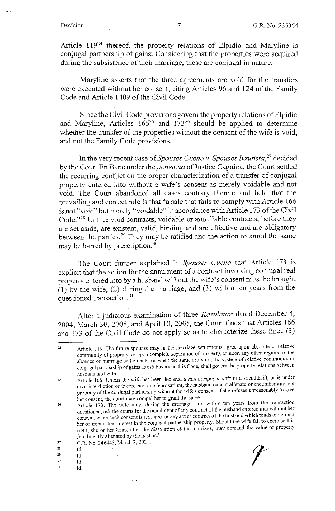Article 119<sup>24</sup> thereof, the property relations of Elpidio and Maryline is conjugal partnership of gains. Considering that the properties were acquired during the subsistence of their marriage, these are conjugal in nature.

Maryline asserts that the three agreements are void for the transfers were executed without her consent, citing Articles 96 and 124 of the Family Code and Article 1409 of the Civil Code.

Since the Civil Code provisions govern the property relations of Elpidio and Maryline, Articles  $166^{25}$  and  $173^{26}$  should be applied to determine whether the transfer of the properties without the consent of the wife is void, and not the Family Code provisions.

In the very recent case of *Spouses Cueno v. Spouses Bautista,<sup>27</sup>*decided by the Court En Banc under the *ponencia* of Justice Caguioa, the Court settled the recurring conflict on the proper characterization of a transfer of conjugal property entered into without a wife's consent as merely voidable and not void. The Court abandoned all cases contrary thereto and held that the prevailing and correct rule is that "a sale that fails to comply with Article 166 is not "void" but merely "voidable" in accordance with Article 173 of the Civil Code."28 Unlike void contracts, voidable or annullable contracts, before they are set aside, are existent, valid, binding and are effective and are obligatory between the parties.29 They may be ratified and the action to annul the same may be barred by prescription.<sup>30</sup>

The Court further explained in *Spouses Cueno* that Article 173 is explicit that the action for the annulment of a contract involving conjugal real property entered into by a husband without the wife's consent must be brought (1) by the wife, (2) during the marriage, and (3) within ten years from the questioned transaction.<sup>31</sup>

After a judicious examination of three *Kasulatan* dated December 4, 2004, March 30, 2005, and April 10, 2005, the Court finds that Articles 166 and 173 of the Civil Code do not apply so as to characterize these three (3)

- 28
- 29
- 30 Id.
- 31 Id.

<sup>24</sup>  **Article I 19. The future spouses may in the marriage settlements agree upon absolute or relative**  community of property, or upon complete separation of property, or upon any other regime. In the **absence of marriage settlements, or when the same are void, the system of relative community or conjugal partnership of gains as established in this Code, shall govern the property relations between**  husband and wife.

<sup>25</sup>  **Article I 66. Unless the wife has been declared a** *non compos mentis* **or a spendthrift, or is under civil interdiction or is confined in a leprosarium\_, the husband cannot alienate or encumber any real property of the conjugal partnership without the wife's consent. If she refuses unreasonably to give**  her consent, the court may compel her to grant the same. .

<sup>26</sup>  Article 173. The wife may, during the marriage, and within ten years from the transaction **questioned, ask the courts for the annulment of any contract of the husband entered into without her**  consent, when such consent is required, or any act or contract of the husband which tends to defraud her or *impair her interest in the conjugal partnership property. Should the wife fail to exercise this* **right, she or her heirs, after the dissolution of the marriage, may demand the value of property**  fraudulently alienated by the husband.

<sup>27</sup>  G.R. No. 246445, March 2, 2021.<br>Id.<br>Id.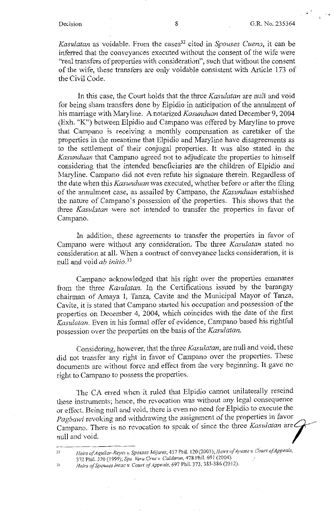$\ddot{\phantom{0}}$ 

*Kasulatan* as voidable. From the cases<sup>32</sup> cited in *Spouses Cueno*, it can be inferred that the conveyances executed without the consent of the wife were "real transfers of properties with consideration", such that without the consent of the wife, these transfers are only voidable consistent with Article 173 of the Civil Code.

In this case, the Court holds that the three *Kasulatan* are null and void for being sham transfers done by Elpidio in anticipation of the annulment of his marriage with Maryline. A notarized *Kasunduan* dated December 9, 2004 (Exh. "K") between Elpidio and Campana was offered by Maryline to prove that Campana is receiving a monthly compensation as caretaker of the properties in the meantime that Elpidio and Maryline have disagreements as to the settlement of their conjugal properties. It was also stated in the *Kasunduan* that Campana agreed not to adjudicate the properties to himself considering that the intended beneficiaries are the children of Elpidio and Maryline. Campana did not even refute his signature therein. Regardless of the date when this *Kasunduan* was executed, whether before or after the filing of the annulment case, as assailed by Campana, the *Kasunduan* established the nature of Campano's possession of the properties. This shows that the three *Kasulatan* were not intended to transfer the properties in favor of Campano.

In addition, these agreements to transfer the properties in favor of Campana were without any consideration. The three *Kasulatan* stated no consideration at all. When a contract of conveyance lacks consideration, it is null and void *ab initio. <sup>33</sup>*

Campana acknowledged that his right over the properties emanates from the three *Kasulatan.* In the Certifications issued by the barangay chairman of Amaya I, Tanza, Cavite and the Municipal Mayor of Tanza, Cavite, it is stated that Campana started his occupation and possession of the properties on December 4, 2004, which coincides with the date of the first Kasulatan. Even in his formal offer of evidence, Campano based his rightful possession over the properties on the basis of the *Kasulatan.* 

Considering, however, that the three *Kasulatan,* are null and void, these did not transfer any right in favor of Campano over the properties. These documents are without force and effect from the very beginning. It gave no right to Campano to possess the properties.

The CA erred when it ruled that Elpidio cannot unilaterally rescind these instruments; hence, the revocation was without any legal consequence or effect. Being null and void, there is even no need for Elpidio to execute the *Pagbawi* revoking and withdrawing the assignment of the properties in favor Campano. There is no revocation to speak of since the three *Kasulatan* are  $\angle$ null and void.

*n* Heirs of Aguilar-Reyes v. Spouses Mijares, 457 Phil. 120 (2003); *Heirs of Ayuste v. Court of Appeals*, 372 Phil. 370 (1999); *Sps. Vera Cruz* v. *Calderon,* 478 Phi!. 691 (2004). *:*  <sup>33</sup> *Heirs of Spouses Intac v. Court of Appeals, 697 Phil. 373, 385-386 (2012).*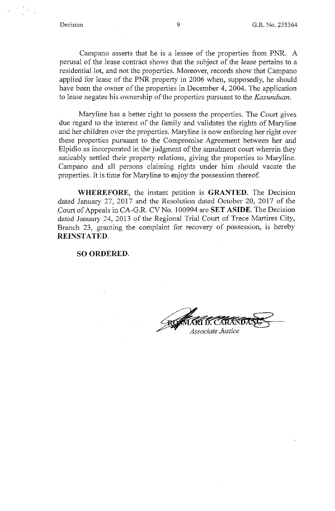Campano asserts that he is a lessee of the properties from PNR. A perusal of the lease contract shows that the subject of the lease pertains to a residential lot, and not the properties. Moreover, records show that Campano applied for lease of the PNR property in 2006 when, supposedly, he should have been the owner of the properties in December 4, 2004. The application to lease negates his ownership of the properties pursuant to the *Kasunduan.* 

Maryline has a better right to possess the properties. The Court gives due regard to the interest of the family and validates the rights of Maryline and her children over the properties. Maryline is now enforcing her right over these properties pursuant to the Compromise Agreement between her and Elpidio as incorporated in the judgment of the annulment court wherein they amicably settled their property relations, giving the properties to Maryline. Campano and all persons claiming rights under him should vacate the properties. It is time for Maryline to enjoy the possession thereof.

**WHEREFORE,** the instant petition is **GRANTED.** The Decision dated January 27, 2017 and the Resolution dated October 20, 2017 of the Court of Appeals in CA-G.R. CV No. 100994 are **SET ASIDE.** The Decision dated January 24, 2013 of the Regional Trial Court of Trece Martires City, Branch 23, granting the complaint for recovery of possession, is hereby **REINSTATED.** 

**SO ORDERED.** 

Associate Justice